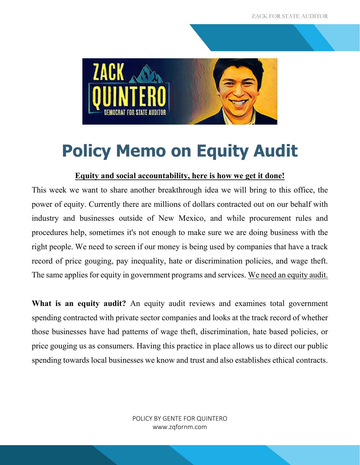

## **Policy Memo on Equity Audit**

## **Equity and social accountability, here is how we get it done!**

This week we want to share another breakthrough idea we will bring to this office, the power of equity. Currently there are millions of dollars contracted out on our behalf with industry and businesses outside of New Mexico, and while procurement rules and procedures help, sometimes it's not enough to make sure we are doing business with the right people. We need to screen if our money is being used by companies that have a track record of price gouging, pay inequality, hate or discrimination policies, and wage theft. The same applies for equity in government programs and services. We need an equity audit.

What is an equity audit? An equity audit reviews and examines total government spending contracted with private sector companies and looks at the track record of whether those businesses have had patterns of wage theft, discrimination, hate based policies, or price gouging us as consumers. Having this practice in place allows us to direct our public spending towards local businesses we know and trust and also establishes ethical contracts.

> POLICY BY GENTE FOR QUINTERO www.zqfornm.com